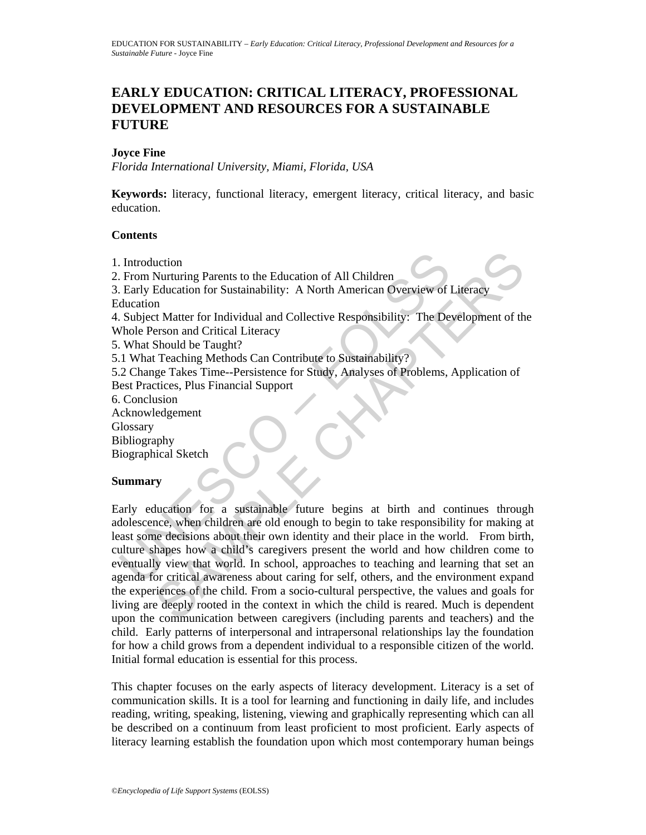# **EARLY EDUCATION: CRITICAL LITERACY, PROFESSIONAL DEVELOPMENT AND RESOURCES FOR A SUSTAINABLE FUTURE**

### **Joyce Fine**

*Florida International University, Miami, Florida, USA* 

**Keywords:** literacy, functional literacy, emergent literacy, critical literacy, and basic education.

### **Contents**

- 1. Introduction
- 2. From Nurturing Parents to the Education of All Children
- 3. Early Education for Sustainability: A North American Overview of Literacy Education

4. Subject Matter for Individual and Collective Responsibility: The Development of the Whole Person and Critical Literacy

5. What Should be Taught?

5.1 What Teaching Methods Can Contribute to Sustainability?

5.2 Change Takes Time--Persistence for Study, Analyses of Problems, Application of Best Practices, Plus Financial Support

6. Conclusion

- Acknowledgement
- **Glossary**

Bibliography

Biographical Sketch

### **Summary**

Introduction<br>
From Nurturing Parents to the Education of All Children<br>
Early Education for Sustainability: A North American Overview of<br>
Iducation<br>
Subject Matter for Individual and Collective Responsibility: The De<br>
Mole uction<br>
Nurturing Parents to the Education of All Children<br>
Education for Sustainability: A North American Overview of Literacy<br>
11<br>
2. Matter for Individual and Collective Responsibility: The Development of th<br>
should be Early education for a sustainable future begins at birth and continues through adolescence, when children are old enough to begin to take responsibility for making at least some decisions about their own identity and their place in the world. From birth, culture shapes how a child's caregivers present the world and how children come to eventually view that world. In school, approaches to teaching and learning that set an agenda for critical awareness about caring for self, others, and the environment expand the experiences of the child. From a socio-cultural perspective, the values and goals for living are deeply rooted in the context in which the child is reared. Much is dependent upon the communication between caregivers (including parents and teachers) and the child. Early patterns of interpersonal and intrapersonal relationships lay the foundation for how a child grows from a dependent individual to a responsible citizen of the world. Initial formal education is essential for this process.

This chapter focuses on the early aspects of literacy development. Literacy is a set of communication skills. It is a tool for learning and functioning in daily life, and includes reading, writing, speaking, listening, viewing and graphically representing which can all be described on a continuum from least proficient to most proficient. Early aspects of literacy learning establish the foundation upon which most contemporary human beings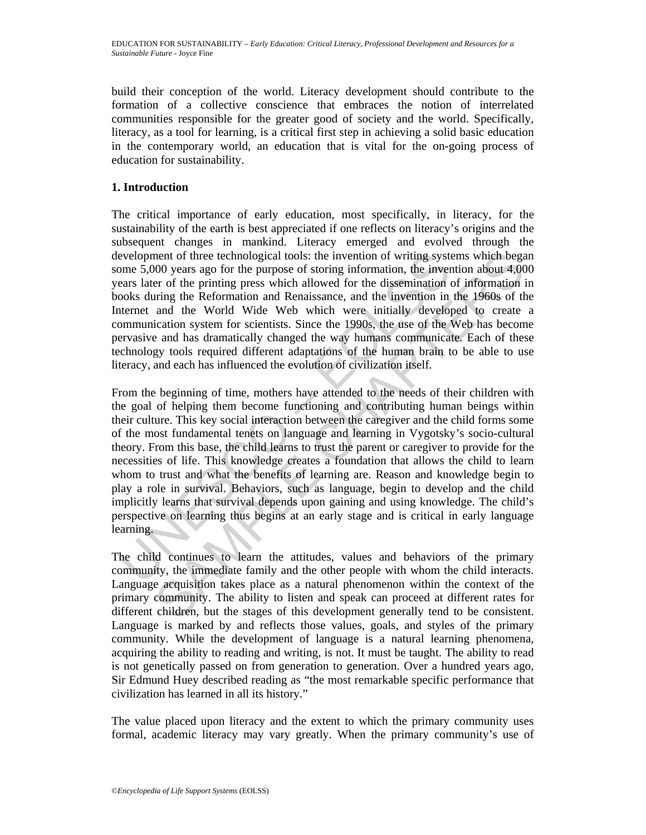build their conception of the world. Literacy development should contribute to the formation of a collective conscience that embraces the notion of interrelated communities responsible for the greater good of society and the world. Specifically, literacy, as a tool for learning, is a critical first step in achieving a solid basic education in the contemporary world, an education that is vital for the on-going process of education for sustainability.

## **1. Introduction**

The critical importance of early education, most specifically, in literacy, for the sustainability of the earth is best appreciated if one reflects on literacy's origins and the subsequent changes in mankind. Literacy emerged and evolved through the development of three technological tools: the invention of writing systems which began some 5,000 years ago for the purpose of storing information, the invention about 4,000 years later of the printing press which allowed for the dissemination of information in books during the Reformation and Renaissance, and the invention in the 1960s of the Internet and the World Wide Web which were initially developed to create a communication system for scientists. Since the 1990s, the use of the Web has become pervasive and has dramatically changed the way humans communicate. Each of these technology tools required different adaptations of the human brain to be able to use literacy, and each has influenced the evolution of civilization itself.

evelopment of three technological tools: the invention of writing systeme 5,000 years ago for the purpose of storing information, the inversents later of the printing press which allowed for the dissemination cooks during ment of three technological tools: the invention of writing systems which begay of the propase ago for the purpose of storing information, the invention about 4:000 years are of the printing press which allowed for the dis From the beginning of time, mothers have attended to the needs of their children with the goal of helping them become functioning and contributing human beings within their culture. This key social interaction between the caregiver and the child forms some of the most fundamental tenets on language and learning in Vygotsky's socio-cultural theory. From this base, the child learns to trust the parent or caregiver to provide for the necessities of life. This knowledge creates a foundation that allows the child to learn whom to trust and what the benefits of learning are. Reason and knowledge begin to play a role in survival. Behaviors, such as language, begin to develop and the child implicitly learns that survival depends upon gaining and using knowledge. The child's perspective on learning thus begins at an early stage and is critical in early language learning.

The child continues to learn the attitudes, values and behaviors of the primary community, the immediate family and the other people with whom the child interacts. Language acquisition takes place as a natural phenomenon within the context of the primary community. The ability to listen and speak can proceed at different rates for different children, but the stages of this development generally tend to be consistent. Language is marked by and reflects those values, goals, and styles of the primary community. While the development of language is a natural learning phenomena, acquiring the ability to reading and writing, is not. It must be taught. The ability to read is not genetically passed on from generation to generation. Over a hundred years ago, Sir Edmund Huey described reading as "the most remarkable specific performance that civilization has learned in all its history."

The value placed upon literacy and the extent to which the primary community uses formal, academic literacy may vary greatly. When the primary community's use of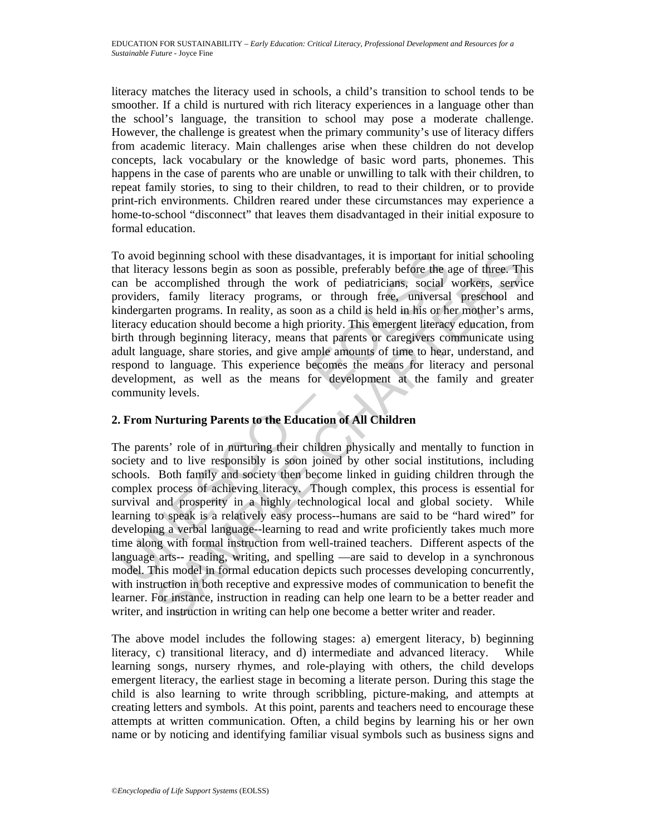literacy matches the literacy used in schools, a child's transition to school tends to be smoother. If a child is nurtured with rich literacy experiences in a language other than the school's language, the transition to school may pose a moderate challenge. However, the challenge is greatest when the primary community's use of literacy differs from academic literacy. Main challenges arise when these children do not develop concepts, lack vocabulary or the knowledge of basic word parts, phonemes. This happens in the case of parents who are unable or unwilling to talk with their children, to repeat family stories, to sing to their children, to read to their children, or to provide print-rich environments. Children reared under these circumstances may experience a home-to-school "disconnect" that leaves them disadvantaged in their initial exposure to formal education.

o avoid beginning school with these disadvantages, it is important for<br>att literacy lessons begin as soon as possible, preferably before the a<br>m be accomplished through the work of pediatricians, social<br>roviders, family li To avoid beginning school with these disadvantages, it is important for initial schooling that literacy lessons begin as soon as possible, preferably before the age of three. This can be accomplished through the work of pediatricians, social workers, service providers, family literacy programs, or through free, universal preschool and kindergarten programs. In reality, as soon as a child is held in his or her mother's arms, literacy education should become a high priority. This emergent literacy education, from birth through beginning literacy, means that parents or caregivers communicate using adult language, share stories, and give ample amounts of time to hear, understand, and respond to language. This experience becomes the means for literacy and personal development, as well as the means for development at the family and greater community levels.

# **2. From Nurturing Parents to the Education of All Children**

beginning school with these disadvantages, it is important for initial schooline<br>accomplished through as soon as possible, preferably before the age of three. The<br>accomplished through the work of pediatricians, social work The parents' role of in nurturing their children physically and mentally to function in society and to live responsibly is soon joined by other social institutions, including schools. Both family and society then become linked in guiding children through the complex process of achieving literacy. Though complex, this process is essential for survival and prosperity in a highly technological local and global society. While learning to speak is a relatively easy process--humans are said to be "hard wired" for developing a verbal language--learning to read and write proficiently takes much more time along with formal instruction from well-trained teachers. Different aspects of the language arts-- reading, writing, and spelling —are said to develop in a synchronous model. This model in formal education depicts such processes developing concurrently, with instruction in both receptive and expressive modes of communication to benefit the learner. For instance, instruction in reading can help one learn to be a better reader and writer, and instruction in writing can help one become a better writer and reader.

The above model includes the following stages: a) emergent literacy, b) beginning literacy, c) transitional literacy, and d) intermediate and advanced literacy. While learning songs, nursery rhymes, and role-playing with others, the child develops emergent literacy, the earliest stage in becoming a literate person. During this stage the child is also learning to write through scribbling, picture-making, and attempts at creating letters and symbols. At this point, parents and teachers need to encourage these attempts at written communication. Often, a child begins by learning his or her own name or by noticing and identifying familiar visual symbols such as business signs and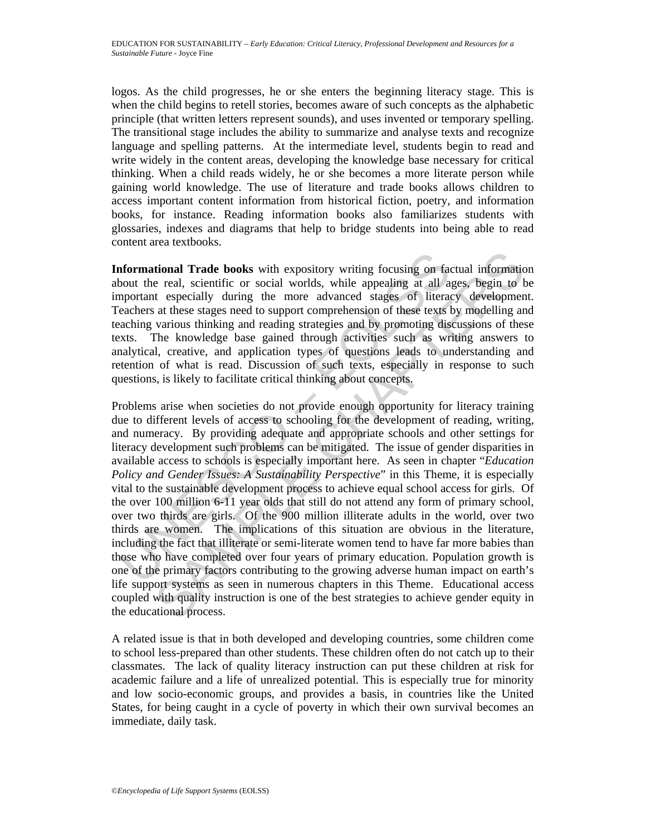logos. As the child progresses, he or she enters the beginning literacy stage. This is when the child begins to retell stories, becomes aware of such concepts as the alphabetic principle (that written letters represent sounds), and uses invented or temporary spelling. The transitional stage includes the ability to summarize and analyse texts and recognize language and spelling patterns. At the intermediate level, students begin to read and write widely in the content areas, developing the knowledge base necessary for critical thinking. When a child reads widely, he or she becomes a more literate person while gaining world knowledge. The use of literature and trade books allows children to access important content information from historical fiction, poetry, and information books, for instance. Reading information books also familiarizes students with glossaries, indexes and diagrams that help to bridge students into being able to read content area textbooks.

**Informational Trade books** with expository writing focusing on factual information about the real, scientific or social worlds, while appealing at all ages, begin to be important especially during the more advanced stages of literacy development. Teachers at these stages need to support comprehension of these texts by modelling and teaching various thinking and reading strategies and by promoting discussions of these texts. The knowledge base gained through activities such as writing answers to analytical, creative, and application types of questions leads to understanding and retention of what is read. Discussion of such texts, especially in response to such questions, is likely to facilitate critical thinking about concepts.

**aformational Trade books** with expository writing focusing on factor the real, scientific or social worlds, while appealing at all a, apportant especially during the more advanced stages of literacechers at these stages n **tional Trade books** with expository writing focusing on factual information e real, scientific or social worlds, while appealing at all ages, begin to the especially during the more advanced stages of literacy development Problems arise when societies do not provide enough opportunity for literacy training due to different levels of access to schooling for the development of reading, writing, and numeracy. By providing adequate and appropriate schools and other settings for literacy development such problems can be mitigated. The issue of gender disparities in available access to schools is especially important here. As seen in chapter "*Education Policy and Gender Issues: A Sustainability Perspective*" in this Theme, it is especially vital to the sustainable development process to achieve equal school access for girls. Of the over 100 million 6-11 year olds that still do not attend any form of primary school, over two thirds are girls. Of the 900 million illiterate adults in the world, over two thirds are women. The implications of this situation are obvious in the literature, including the fact that illiterate or semi-literate women tend to have far more babies than those who have completed over four years of primary education. Population growth is one of the primary factors contributing to the growing adverse human impact on earth's life support systems as seen in numerous chapters in this Theme. Educational access coupled with quality instruction is one of the best strategies to achieve gender equity in the educational process.

A related issue is that in both developed and developing countries, some children come to school less-prepared than other students. These children often do not catch up to their classmates. The lack of quality literacy instruction can put these children at risk for academic failure and a life of unrealized potential. This is especially true for minority and low socio-economic groups, and provides a basis, in countries like the United States, for being caught in a cycle of poverty in which their own survival becomes an immediate, daily task.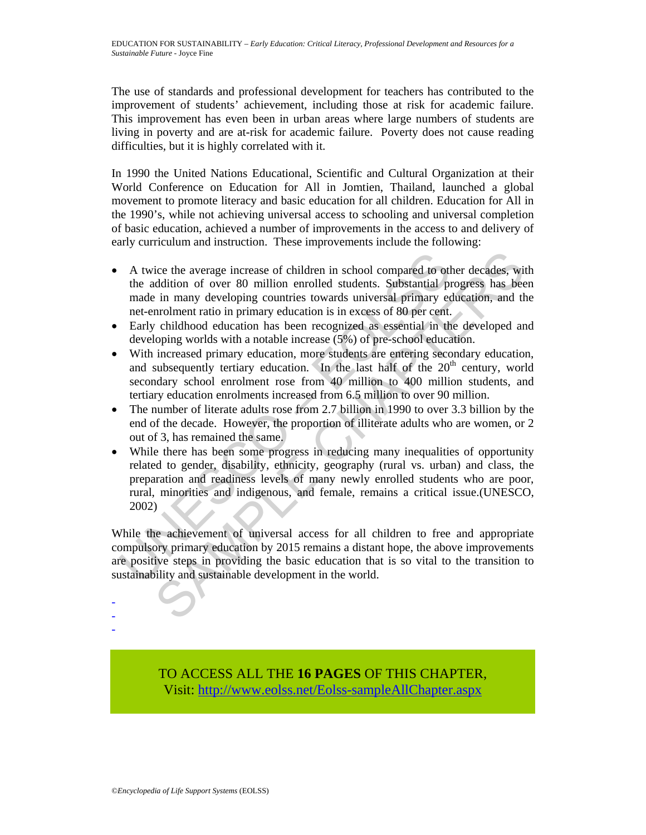The use of standards and professional development for teachers has contributed to the improvement of students' achievement, including those at risk for academic failure. This improvement has even been in urban areas where large numbers of students are living in poverty and are at-risk for academic failure. Poverty does not cause reading difficulties, but it is highly correlated with it.

In 1990 the United Nations Educational, Scientific and Cultural Organization at their World Conference on Education for All in Jomtien, Thailand, launched a global movement to promote literacy and basic education for all children. Education for All in the 1990's, while not achieving universal access to schooling and universal completion of basic education, achieved a number of improvements in the access to and delivery of early curriculum and instruction. These improvements include the following:

- A twice the average increase of children in school compared to other decades, with the addition of over 80 million enrolled students. Substantial progress has been made in many developing countries towards universal primary education, and the net-enrolment ratio in primary education is in excess of 80 per cent.
- Early childhood education has been recognized as essential in the developed and developing worlds with a notable increase (5%) of pre-school education.
- With increased primary education, more students are entering secondary education, and subsequently tertiary education. In the last half of the  $20<sup>th</sup>$  century, world secondary school enrolment rose from 40 million to 400 million students, and tertiary education enrolments increased from 6.5 million to over 90 million.
- The number of literate adults rose from 2.7 billion in 1990 to over 3.3 billion by the end of the decade. However, the proportion of illiterate adults who are women, or 2 out of 3, has remained the same.
- A twice the average increase of children in school compared to of<br>the addition of over 80 million enrolled students. Substantial p<br>made in many developing countries towards universal primary ec<br>net-enrolment ratio in prim ice the average increase of children in school compared to other decades, wild<br>didition of over 80 million enrolled students. Substantial progress has bee<br>in many developing countries towards universal primary education, a • While there has been some progress in reducing many inequalities of opportunity related to gender, disability, ethnicity, geography (rural vs. urban) and class, the preparation and readiness levels of many newly enrolled students who are poor, rural, minorities and indigenous, and female, remains a critical issue.(UNESCO, 2002)

While the achievement of universal access for all children to free and appropriate compulsory primary education by 2015 remains a distant hope, the above improvements are positive steps in providing the basic education that is so vital to the transition to sustainability and sustainable development in the world.

> TO ACCESS ALL THE **16 PAGES** OF THIS CHAPTER, Visit[: http://www.eolss.net/Eolss-sampleAllChapter.aspx](https://www.eolss.net/ebooklib/sc_cart.aspx?File=E6-61-03-01)

- - -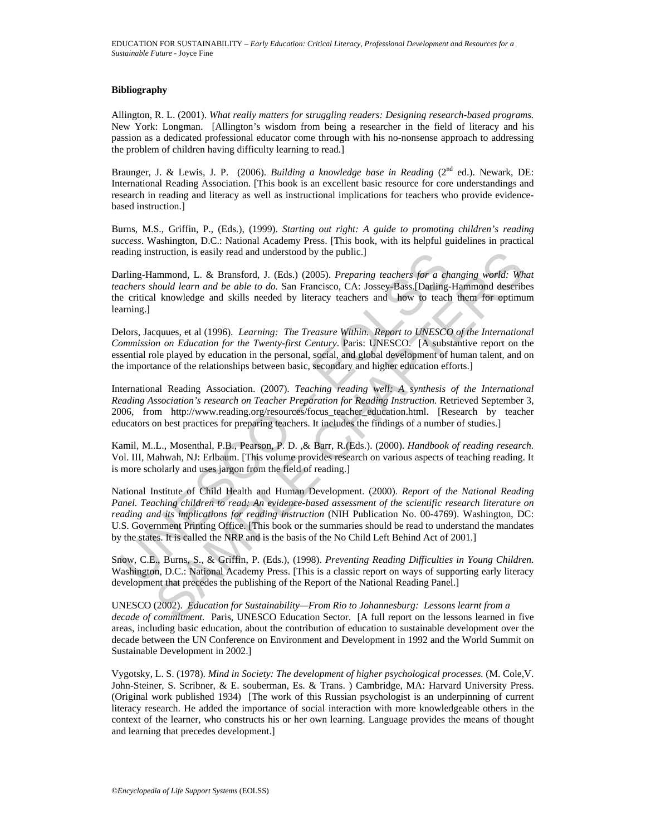#### **Bibliography**

Allington, R. L. (2001). *What really matters for struggling readers: Designing research-based programs.* New York: Longman. [Allington's wisdom from being a researcher in the field of literacy and his passion as a dedicated professional educator come through with his no-nonsense approach to addressing the problem of children having difficulty learning to read.]

Braunger, J. & Lewis, J. P. (2006). *Building a knowledge base in Reading* (2nd ed.). Newark, DE: International Reading Association. [This book is an excellent basic resource for core understandings and research in reading and literacy as well as instructional implications for teachers who provide evidencebased instruction.]

Burns, M.S., Griffin, P., (Eds.), (1999). *Starting out right: A guide to promoting children's reading success*. Washington, D.C.: National Academy Press. [This book, with its helpful guidelines in practical reading instruction, is easily read and understood by the public.]

Darling-Hammond, L. & Bransford, J. (Eds.) (2005). *Preparing teachers for a changing world: What teachers should learn and be able to do.* San Francisco, CA: Jossey-Bass.[Darling-Hammond describes the critical knowledge and skills needed by literacy teachers and how to teach them for optimum learning.]

Delors, Jacquues, et al (1996). *Learning: The Treasure Within. Report to UNESCO of the International Commission on Education for the Twenty-first Century*. Paris: UNESCO. [A substantive report on the essential role played by education in the personal, social, and global development of human talent, and on the importance of the relationships between basic, secondary and higher education efforts.]

International Reading Association. (2007). *Teaching reading well: A synthesis of the International Reading Association's research on Teacher Preparation for Reading Instruction.* Retrieved September 3, 2006, from http://www*.*reading.org/resources/focus\_teacher\_education.html. [Research by teacher educators on best practices for preparing teachers. It includes the findings of a number of studies.]

Kamil, M..L., Mosenthal, P.B., Pearson, P. D. ,& Barr, R.(Eds.). (2000). *Handbook of reading research.* Vol. III, Mahwah, NJ: Erlbaum. [This volume provides research on various aspects of teaching reading. It is more scholarly and uses jargon from the field of reading.]

ading instruction, is easily read and understood by the public.]<br>arling-Hammond, L. & Bransford, J. (Eds.) (2005). *Preparing teachers for a chackers should learn and be able to do*. San Francisco, CA: Jossey-Bass.[Darling struction, is easily read and understood by the public.]<br>
mmnond, L. & Bransford, J. (Eds.) (2005). *Preparing teachers for a changing wordd. Whatman and be able to do.* San Francisco, CA: Dosey-Bass.[Darling-Hammond descr National Institute of Child Health and Human Development. (2000). *Report of the National Reading Panel. Teaching children to read: An evidence-based assessment of the scientific research literature on reading and its implications for reading instruction* (NIH Publication No. 00-4769). Washington, DC: U.S. Government Printing Office. [This book or the summaries should be read to understand the mandates by the states. It is called the NRP and is the basis of the No Child Left Behind Act of 2001.]

Snow, C.E., Burns, S., & Griffin, P. (Eds.), (1998). *Preventing Reading Difficulties in Young Children*. Washington, D.C.: National Academy Press. [This is a classic report on ways of supporting early literacy development that precedes the publishing of the Report of the National Reading Panel.]

UNESCO (2002). *Education for Sustainability—From Rio to Johannesburg: Lessons learnt from a decade of commitment.* Paris, UNESCO Education Sector. [A full report on the lessons learned in five areas, including basic education, about the contribution of education to sustainable development over the decade between the UN Conference on Environment and Development in 1992 and the World Summit on Sustainable Development in 2002.]

Vygotsky, L. S. (1978). *Mind in Society: The development of higher psychological processes.* (M. Cole,V. John-Steiner, S. Scribner, & E. souberman, Es. & Trans. ) Cambridge, MA: Harvard University Press. (Original work published 1934) [The work of this Russian psychologist is an underpinning of current literacy research. He added the importance of social interaction with more knowledgeable others in the context of the learner, who constructs his or her own learning. Language provides the means of thought and learning that precedes development.]